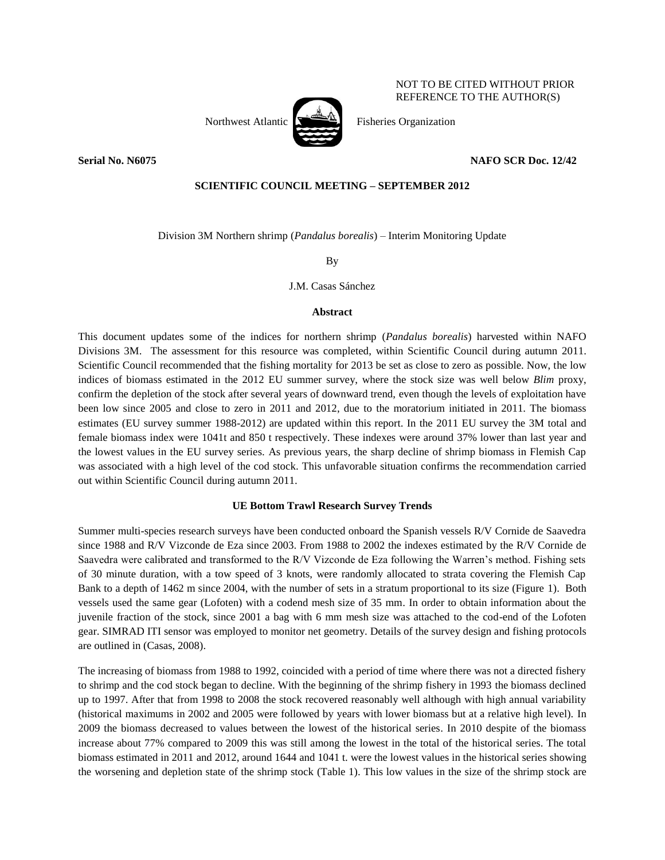

NOT TO BE CITED WITHOUT PRIOR REFERENCE TO THE AUTHOR(S)

# **Serial No. N6075 NAFO SCR Doc. 12/42**

## **SCIENTIFIC COUNCIL MEETING – SEPTEMBER 2012**

Division 3M Northern shrimp (*Pandalus borealis*) – Interim Monitoring Update

By

J.M. Casas Sánchez

### **Abstract**

This document updates some of the indices for northern shrimp (*Pandalus borealis*) harvested within NAFO Divisions 3M. The assessment for this resource was completed, within Scientific Council during autumn 2011. Scientific Council recommended that the fishing mortality for 2013 be set as close to zero as possible. Now, the low indices of biomass estimated in the 2012 EU summer survey, where the stock size was well below *Blim* proxy, confirm the depletion of the stock after several years of downward trend, even though the levels of exploitation have been low since 2005 and close to zero in 2011 and 2012, due to the moratorium initiated in 2011. The biomass estimates (EU survey summer 1988-2012) are updated within this report. In the 2011 EU survey the 3M total and female biomass index were 1041t and 850 t respectively. These indexes were around 37% lower than last year and the lowest values in the EU survey series. As previous years, the sharp decline of shrimp biomass in Flemish Cap was associated with a high level of the cod stock. This unfavorable situation confirms the recommendation carried out within Scientific Council during autumn 2011.

### **UE Bottom Trawl Research Survey Trends**

Summer multi-species research surveys have been conducted onboard the Spanish vessels R/V Cornide de Saavedra since 1988 and R/V Vizconde de Eza since 2003. From 1988 to 2002 the indexes estimated by the R/V Cornide de Saavedra were calibrated and transformed to the R/V Vizconde de Eza following the Warren's method. Fishing sets of 30 minute duration, with a tow speed of 3 knots, were randomly allocated to strata covering the Flemish Cap Bank to a depth of 1462 m since 2004, with the number of sets in a stratum proportional to its size (Figure 1). Both vessels used the same gear (Lofoten) with a codend mesh size of 35 mm. In order to obtain information about the juvenile fraction of the stock, since 2001 a bag with 6 mm mesh size was attached to the cod-end of the Lofoten gear. SIMRAD ITI sensor was employed to monitor net geometry. Details of the survey design and fishing protocols are outlined in (Casas, 2008).

The increasing of biomass from 1988 to 1992, coincided with a period of time where there was not a directed fishery to shrimp and the cod stock began to decline. With the beginning of the shrimp fishery in 1993 the biomass declined up to 1997. After that from 1998 to 2008 the stock recovered reasonably well although with high annual variability (historical maximums in 2002 and 2005 were followed by years with lower biomass but at a relative high level). In 2009 the biomass decreased to values between the lowest of the historical series. In 2010 despite of the biomass increase about 77% compared to 2009 this was still among the lowest in the total of the historical series. The total biomass estimated in 2011 and 2012, around 1644 and 1041 t. were the lowest values in the historical series showing the worsening and depletion state of the shrimp stock (Table 1). This low values in the size of the shrimp stock are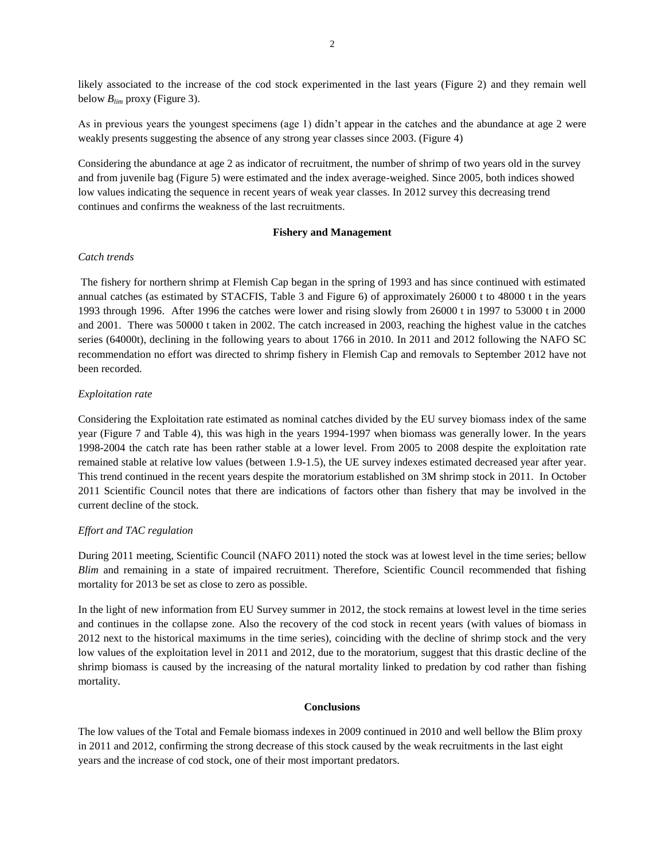likely associated to the increase of the cod stock experimented in the last years (Figure 2) and they remain well below *Blim* proxy (Figure 3).

As in previous years the youngest specimens (age 1) didn't appear in the catches and the abundance at age 2 were weakly presents suggesting the absence of any strong year classes since 2003. (Figure 4)

Considering the abundance at age 2 as indicator of recruitment, the number of shrimp of two years old in the survey and from juvenile bag (Figure 5) were estimated and the index average-weighed. Since 2005, both indices showed low values indicating the sequence in recent years of weak year classes. In 2012 survey this decreasing trend continues and confirms the weakness of the last recruitments.

### **Fishery and Management**

### *Catch trends*

The fishery for northern shrimp at Flemish Cap began in the spring of 1993 and has since continued with estimated annual catches (as estimated by STACFIS, Table 3 and Figure 6) of approximately 26000 t to 48000 t in the years 1993 through 1996. After 1996 the catches were lower and rising slowly from 26000 t in 1997 to 53000 t in 2000 and 2001. There was 50000 t taken in 2002. The catch increased in 2003, reaching the highest value in the catches series (64000t), declining in the following years to about 1766 in 2010. In 2011 and 2012 following the NAFO SC recommendation no effort was directed to shrimp fishery in Flemish Cap and removals to September 2012 have not been recorded.

#### *Exploitation rate*

Considering the Exploitation rate estimated as nominal catches divided by the EU survey biomass index of the same year (Figure 7 and Table 4), this was high in the years 1994-1997 when biomass was generally lower. In the years 1998-2004 the catch rate has been rather stable at a lower level. From 2005 to 2008 despite the exploitation rate remained stable at relative low values (between 1.9-1.5), the UE survey indexes estimated decreased year after year. This trend continued in the recent years despite the moratorium established on 3M shrimp stock in 2011. In October 2011 Scientific Council notes that there are indications of factors other than fishery that may be involved in the current decline of the stock.

### *Effort and TAC regulation*

During 2011 meeting, Scientific Council (NAFO 2011) noted the stock was at lowest level in the time series; bellow *Blim* and remaining in a state of impaired recruitment. Therefore, Scientific Council recommended that fishing mortality for 2013 be set as close to zero as possible.

In the light of new information from EU Survey summer in 2012, the stock remains at lowest level in the time series and continues in the collapse zone. Also the recovery of the cod stock in recent years (with values of biomass in 2012 next to the historical maximums in the time series), coinciding with the decline of shrimp stock and the very low values of the exploitation level in 2011 and 2012, due to the moratorium, suggest that this drastic decline of the shrimp biomass is caused by the increasing of the natural mortality linked to predation by cod rather than fishing mortality.

#### **Conclusions**

The low values of the Total and Female biomass indexes in 2009 continued in 2010 and well bellow the Blim proxy in 2011 and 2012, confirming the strong decrease of this stock caused by the weak recruitments in the last eight years and the increase of cod stock, one of their most important predators.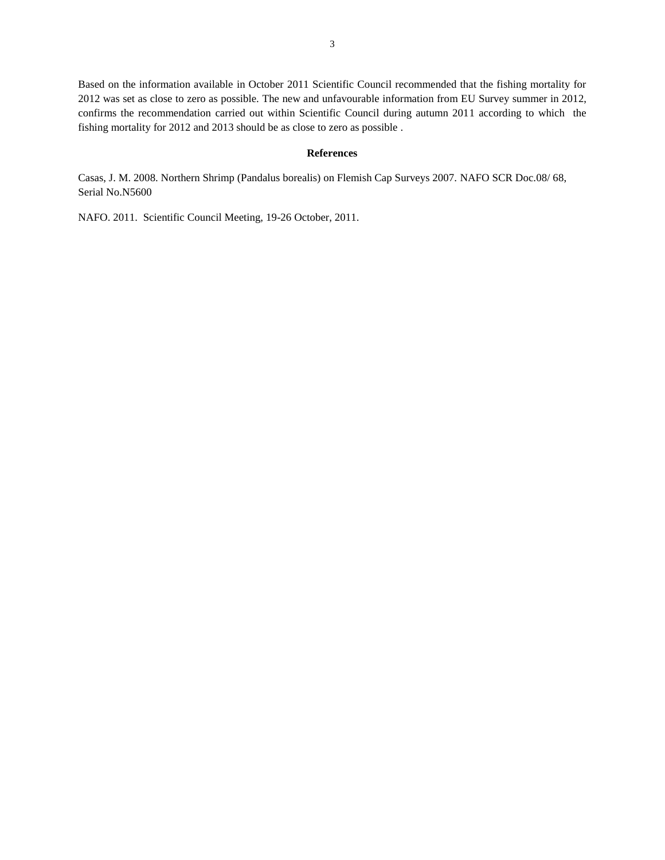Based on the information available in October 2011 Scientific Council recommended that the fishing mortality for 2012 was set as close to zero as possible. The new and unfavourable information from EU Survey summer in 2012, confirms the recommendation carried out within Scientific Council during autumn 2011 according to which the fishing mortality for 2012 and 2013 should be as close to zero as possible .

## **References**

Casas, J. M. 2008. Northern Shrimp (Pandalus borealis) on Flemish Cap Surveys 2007. NAFO SCR Doc.08/ 68, Serial No.N5600

NAFO. 2011. Scientific Council Meeting, 19-26 October, 2011.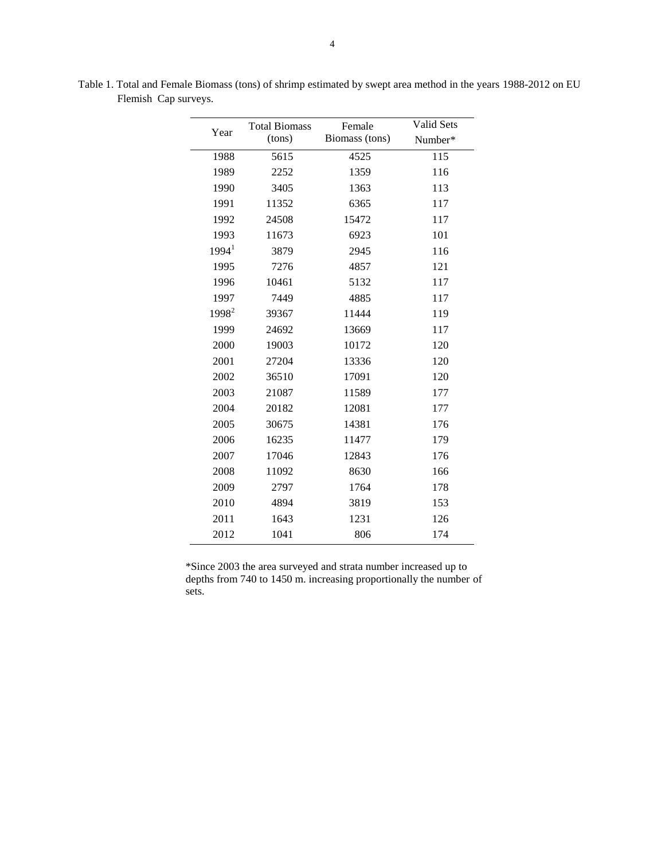| Year              | <b>Total Biomass</b> | Female         | <b>Valid Sets</b> |  |  |  |  |
|-------------------|----------------------|----------------|-------------------|--|--|--|--|
|                   | (tons)               | Biomass (tons) | Number*           |  |  |  |  |
| 1988              | 5615                 | 4525           | 115               |  |  |  |  |
| 1989              | 2252                 | 1359           | 116               |  |  |  |  |
| 1990              | 3405                 | 1363           | 113               |  |  |  |  |
| 1991              | 11352                | 6365           | 117               |  |  |  |  |
| 1992              | 24508                | 15472          | 117               |  |  |  |  |
| 1993              | 11673                | 6923           | 101               |  |  |  |  |
| 1994 <sup>1</sup> | 3879                 | 2945           | 116               |  |  |  |  |
| 1995              | 7276                 | 4857           | 121               |  |  |  |  |
| 1996              | 10461                | 5132           | 117               |  |  |  |  |
| 1997              | 7449                 | 4885           | 117               |  |  |  |  |
| $1998^2$          | 39367                | 11444          | 119               |  |  |  |  |
| 1999              | 24692                | 13669          | 117               |  |  |  |  |
| 2000              | 19003                | 10172          | 120               |  |  |  |  |
| 2001              | 27204                | 13336          | 120               |  |  |  |  |
| 2002              | 36510                | 17091          | 120               |  |  |  |  |
| 2003              | 21087                | 11589          | 177               |  |  |  |  |
| 2004              | 20182                | 12081          | 177               |  |  |  |  |
| 2005              | 30675                | 14381          | 176               |  |  |  |  |
| 2006              | 16235                | 11477          | 179               |  |  |  |  |
| 2007              | 17046                | 12843          | 176               |  |  |  |  |
| 2008              | 11092                | 8630           | 166               |  |  |  |  |
| 2009              | 2797                 | 1764           | 178               |  |  |  |  |
| 2010              | 4894                 | 3819           | 153               |  |  |  |  |
| 2011              | 1643                 | 1231           | 126               |  |  |  |  |
| 2012              | 1041                 | 806            | 174               |  |  |  |  |
|                   |                      |                |                   |  |  |  |  |

Table 1. Total and Female Biomass (tons) of shrimp estimated by swept area method in the years 1988-2012 on EU Flemish Cap surveys.

\*Since 2003 the area surveyed and strata number increased up to depths from 740 to 1450 m. increasing proportionally the number of sets.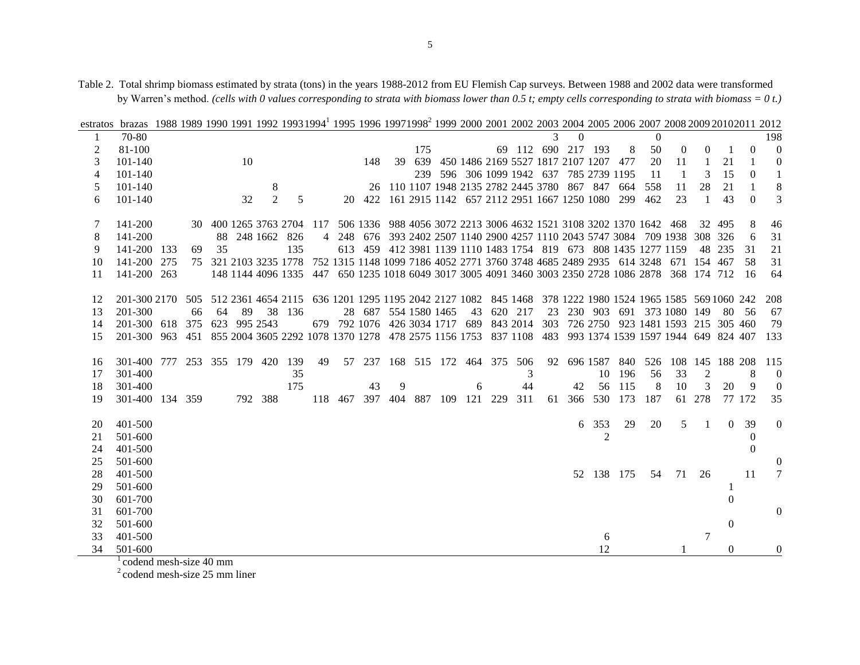Table 2. Total shrimp biomass estimated by strata (tons) in the years 1988-2012 from EU Flemish Cap surveys. Between 1988 and 2002 data were transformed by Warren's method. *(cells with 0 values corresponding to strata with biomass lower than 0.5 t; empty cells corresponding to strata with biomass = 0 t.)*

| estratos | brazas 1988 1989 1990 1991 1992 1993 1994 1995 1996 1997 1998 1999 2000 2001 2002 2003 2004 2005 2006 2007 2008 2009 2010 2012 |     |    |    |     |                |                                                                                                           |    |         |        |    |     |                      |    |                                         |         |    |                    |                                                                     |         |          |                                                                             |                 |                |                |                  |
|----------|--------------------------------------------------------------------------------------------------------------------------------|-----|----|----|-----|----------------|-----------------------------------------------------------------------------------------------------------|----|---------|--------|----|-----|----------------------|----|-----------------------------------------|---------|----|--------------------|---------------------------------------------------------------------|---------|----------|-----------------------------------------------------------------------------|-----------------|----------------|----------------|------------------|
|          | 70-80                                                                                                                          |     |    |    |     |                |                                                                                                           |    |         |        |    |     |                      |    |                                         |         |    |                    |                                                                     |         | $\Omega$ |                                                                             |                 |                |                | 198              |
| 2        | 81-100                                                                                                                         |     |    |    |     |                |                                                                                                           |    |         |        |    | 175 |                      |    |                                         |         |    | 69 112 690 217 193 |                                                                     | 8       | 50       | $\theta$                                                                    | 0               |                | $\Omega$       |                  |
| 3        | 101-140                                                                                                                        |     |    |    | 10  |                |                                                                                                           |    |         | 148    | 39 |     |                      |    |                                         |         |    |                    | 639 450 1486 2169 5527 1817 2107 1207 477                           |         | 20       | 11                                                                          |                 | 21             |                | 0                |
| 4        | 101-140                                                                                                                        |     |    |    |     |                |                                                                                                           |    |         |        |    |     |                      |    |                                         |         |    |                    | 239 596 306 1099 1942 637 785 2739 1195                             |         | 11       | -1                                                                          | 3               | 15             | $\overline{0}$ |                  |
| 5        | $101 - 140$                                                                                                                    |     |    |    |     | 8              |                                                                                                           |    |         | 26     |    |     |                      |    |                                         |         |    |                    | 110 1107 1948 2135 2782 2445 3780 867 847 664                       |         | 558      | 11                                                                          | 28              | 21             |                |                  |
| 6        | 101-140                                                                                                                        |     |    |    | 32  | $\overline{2}$ | 5                                                                                                         |    |         | 20 422 |    |     |                      |    |                                         |         |    |                    | 161 2915 1142 657 2112 2951 1667 1250 1080 299                      |         | 462      | 23                                                                          |                 | 43             | $\Omega$       |                  |
|          |                                                                                                                                |     |    |    |     |                |                                                                                                           |    |         |        |    |     |                      |    |                                         |         |    |                    |                                                                     |         |          |                                                                             |                 |                |                |                  |
| 7        | 141-200                                                                                                                        |     |    |    |     |                | 30 400 1265 3763 2704 117                                                                                 |    |         |        |    |     |                      |    |                                         |         |    |                    | 506 1336 988 4056 3072 2213 3006 4632 1521 3108 3202 1370 1642 468  |         |          |                                                                             |                 | 32 495         | 8              | 46               |
| 8        | 141-200                                                                                                                        |     |    |    |     |                | 88 248 1662 826                                                                                           |    |         |        |    |     |                      |    |                                         |         |    |                    |                                                                     |         |          | 4 248 676 393 2402 2507 1140 2900 4257 1110 2043 5747 3084 709 1938 308 326 |                 |                | 6              | 31               |
| 9        | 141-200 133                                                                                                                    |     | 69 | 35 |     |                | 135                                                                                                       |    |         |        |    |     |                      |    |                                         |         |    |                    | 613 459 412 3981 1139 1110 1483 1754 819 673 808 1435 1277 1159     |         |          |                                                                             |                 | 48 235         | 31             | 21               |
| 10       | 141-200                                                                                                                        | 275 |    |    |     |                | 75 321 2103 3235 1778                                                                                     |    |         |        |    |     |                      |    |                                         |         |    |                    | 752 1315 1148 1099 7186 4052 2771 3760 3748 4685 2489 2935 614 3248 |         |          | 671                                                                         | 154 467         |                | 58             | 31               |
| 11       | 141-200 263                                                                                                                    |     |    |    |     |                | 148 1144 4096 1335 447 650 1235 1018 6049 3017 3005 4091 3460 3003 2350 2728 1086 2878 368 174 712        |    |         |        |    |     |                      |    |                                         |         |    |                    |                                                                     |         |          |                                                                             |                 |                | -16            | 64               |
|          |                                                                                                                                |     |    |    |     |                |                                                                                                           |    |         |        |    |     |                      |    |                                         |         |    |                    |                                                                     |         |          |                                                                             |                 |                |                |                  |
| 12       | 201-300 2170 505 512 2361 4654 2115 636 1201 1295 1195 2042 2127 1082 845 1468 378 1222 1980 1524 1965 1585 569 1060 242       |     |    |    |     |                |                                                                                                           |    |         |        |    |     |                      |    |                                         |         |    |                    |                                                                     |         |          |                                                                             |                 |                |                | -208             |
| 13       | 201-300                                                                                                                        |     | 66 | 64 | -89 |                | 38 136                                                                                                    |    |         |        |    |     | 28 687 554 1580 1465 | 43 |                                         | 620 217 | 23 |                    |                                                                     |         |          | 230 903 691 373 1080 149                                                    |                 |                | 80 56          | 67               |
| 14       | 201-300 618 375                                                                                                                |     |    |    |     | 623 995 2543   |                                                                                                           |    |         |        |    |     |                      |    | 679 792 1076 426 3034 1717 689 843 2014 |         |    |                    |                                                                     |         |          | 303 726 2750 923 1481 1593 215 305 460                                      |                 |                |                | 79               |
| 15       | 201-300 963                                                                                                                    |     |    |    |     |                | 451 855 2004 3605 2292 1078 1370 1278 478 2575 1156 1753 837 1108 483 993 1374 1539 1597 1944 649 824 407 |    |         |        |    |     |                      |    |                                         |         |    |                    |                                                                     |         |          |                                                                             |                 |                |                | 133              |
|          |                                                                                                                                |     |    |    |     |                |                                                                                                           |    |         |        |    |     |                      |    |                                         |         |    |                    |                                                                     |         |          |                                                                             |                 |                |                |                  |
| 16       | 301-400 777                                                                                                                    |     |    |    |     |                | 253 355 179 420 139                                                                                       | 49 |         |        |    |     |                      |    | 57 237 168 515 172 464 375 506          |         |    |                    | 92 696 1587 840 526                                                 |         |          |                                                                             | 108 145 188 208 |                |                | 115              |
| 17       | 301-400                                                                                                                        |     |    |    |     |                | 35                                                                                                        |    |         |        |    |     |                      |    |                                         | 3       |    |                    |                                                                     | 10 196  | 56       | 33                                                                          | 2               |                | 8              | $\boldsymbol{0}$ |
| 18       | 301-400                                                                                                                        |     |    |    |     |                | 175                                                                                                       |    |         | 43     | 9  |     |                      | 6  |                                         | 44      |    | 42                 |                                                                     | 56 115  | 8        | 10                                                                          | 3               | 20             | 9              | $\theta$         |
| 19       | 301-400 134 359                                                                                                                |     |    |    |     | 792 388        |                                                                                                           |    | 118 467 |        |    |     |                      |    | 397 404 887 109 121 229                 | 311     |    | 61 366             |                                                                     | 530 173 | 187      |                                                                             | 61 278          |                | 77 172         | 35               |
|          |                                                                                                                                |     |    |    |     |                |                                                                                                           |    |         |        |    |     |                      |    |                                         |         |    |                    |                                                                     |         |          |                                                                             |                 |                |                |                  |
| 20       | 401-500                                                                                                                        |     |    |    |     |                |                                                                                                           |    |         |        |    |     |                      |    |                                         |         |    | 6                  | 353<br>$\overline{2}$                                               | 29      | 20       | 5                                                                           | -1              | $\Omega$       | 39             | 0                |
| 21       | 501-600                                                                                                                        |     |    |    |     |                |                                                                                                           |    |         |        |    |     |                      |    |                                         |         |    |                    |                                                                     |         |          |                                                                             |                 |                | $\Omega$       |                  |
| 24       | 401-500                                                                                                                        |     |    |    |     |                |                                                                                                           |    |         |        |    |     |                      |    |                                         |         |    |                    |                                                                     |         |          |                                                                             |                 |                | $\Omega$       |                  |
| 25<br>28 | 501-600                                                                                                                        |     |    |    |     |                |                                                                                                           |    |         |        |    |     |                      |    |                                         |         |    |                    |                                                                     |         |          | 71                                                                          | 26              |                | 11             |                  |
|          | 401-500                                                                                                                        |     |    |    |     |                |                                                                                                           |    |         |        |    |     |                      |    |                                         |         |    |                    | 52 138 175                                                          |         | 54       |                                                                             |                 |                |                |                  |
| 29       | 501-600                                                                                                                        |     |    |    |     |                |                                                                                                           |    |         |        |    |     |                      |    |                                         |         |    |                    |                                                                     |         |          |                                                                             |                 |                |                |                  |
| 30       | 601-700                                                                                                                        |     |    |    |     |                |                                                                                                           |    |         |        |    |     |                      |    |                                         |         |    |                    |                                                                     |         |          |                                                                             |                 | $\overline{0}$ |                |                  |
| 31       | 601-700                                                                                                                        |     |    |    |     |                |                                                                                                           |    |         |        |    |     |                      |    |                                         |         |    |                    |                                                                     |         |          |                                                                             |                 |                |                | 0                |
| 32       | 501-600                                                                                                                        |     |    |    |     |                |                                                                                                           |    |         |        |    |     |                      |    |                                         |         |    |                    |                                                                     |         |          |                                                                             |                 | $\Omega$       |                |                  |
| 33       | 401-500                                                                                                                        |     |    |    |     |                |                                                                                                           |    |         |        |    |     |                      |    |                                         |         |    |                    | 6                                                                   |         |          |                                                                             | 7               |                |                |                  |
| 34       | 501-600                                                                                                                        |     |    |    |     |                |                                                                                                           |    |         |        |    |     |                      |    |                                         |         |    |                    | 12                                                                  |         |          |                                                                             |                 | $\theta$       |                | $\boldsymbol{0}$ |

|  | / waiten's method. (ceus wim o values corresponaing to straia wim olomass tower man 0.5 t, empty ceus corresponaing to straia wim olomass = 0 t. |  |  |
|--|--------------------------------------------------------------------------------------------------------------------------------------------------|--|--|
|  |                                                                                                                                                  |  |  |

codend mesh-size 40 mm

 $2^2$  codend mesh-size 25 mm liner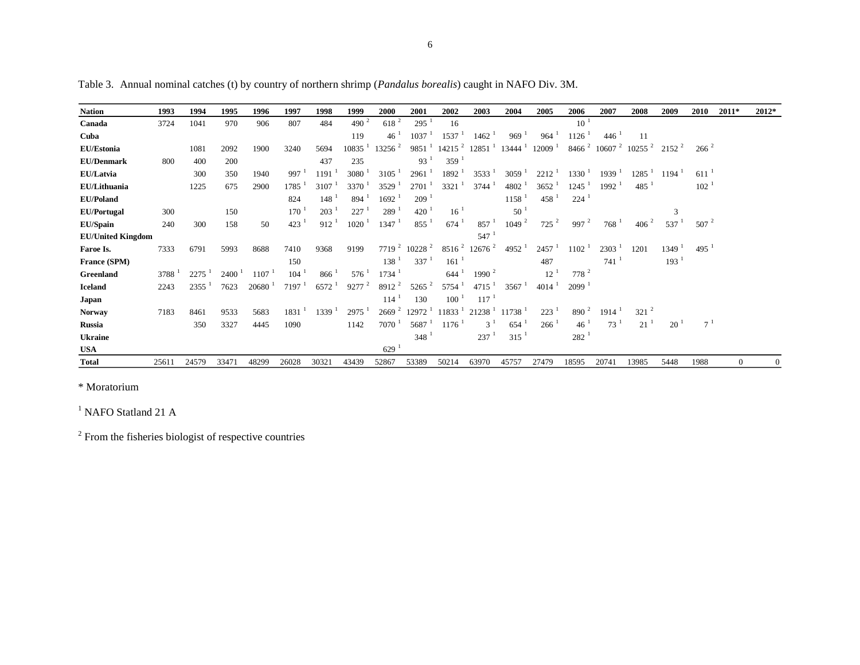| <b>Nation</b>            | 1993  | 1994  | 1995        | 1996  | 1997              | 1998     | 1999                | 2000                 | 2001               | 2002                 | 2003                          | 2004                 | 2005                | 2006                 | 2007                        | 2008           | 2009                | 2010       | 2011*        | 2012*          |
|--------------------------|-------|-------|-------------|-------|-------------------|----------|---------------------|----------------------|--------------------|----------------------|-------------------------------|----------------------|---------------------|----------------------|-----------------------------|----------------|---------------------|------------|--------------|----------------|
| Canada                   | 3724  | 1041  | 970         | 906   | 807               | 484      | 490 $^2$            | $618^{2}$            | 295                | 16                   |                               |                      |                     | $10^{-1}$            |                             |                |                     |            |              |                |
| Cuba                     |       |       |             |       |                   |          | 119                 | 46                   | 1037               | 1537                 | 1462                          | 969                  | 964                 | 1126                 | 446                         | 11             |                     |            |              |                |
| EU/Estonia               |       | 1081  | 2092        | 1900  | 3240              | 5694     | 10835               | $13256$ <sup>2</sup> | 9851               | $14215$ <sup>2</sup> | 12851                         | $13444^{\mathrm{T}}$ | 12009               |                      | $8466^2$ 10607 <sup>2</sup> | $10255$ $^{2}$ | $2152^2$            | $266^{2}$  |              |                |
| <b>EU/Denmark</b>        | 800   | 400   | 200         |       |                   | 437      | 235                 |                      | 93                 | 359                  |                               |                      |                     |                      |                             |                |                     |            |              |                |
| EU/Latvia                |       | 300   | 350         | 1940  | 997               | 1191     | 3080                | 3105                 | 2961               | 1892                 | 3533                          | 3059                 | 2212                | $1330^{\frac{1}{2}}$ | 1939                        | 1285           | 1194 <sup>1</sup>   | 611        |              |                |
| EU/Lithuania             |       | 1225  | 675         | 2900  | 1785              | 3107     | 3370                | 3529                 | 2701               | 3321                 | 3744                          | 4802                 | 3652                | $1245$ <sup>1</sup>  | $1992$ <sup>1</sup>         | 485            |                     | $102^{-1}$ |              |                |
| <b>EU/Poland</b>         |       |       |             |       | 824               | 148      | 894                 | 1692                 | 209                |                      |                               | 1158                 | 458                 | $224^{\frac{1}{2}}$  |                             |                |                     |            |              |                |
| <b>EU/Portugal</b>       | 300   |       | 150         |       | 170               | 203      | 227                 | 289                  | $420-1$            | $16^{-1}$            |                               | 50                   |                     |                      |                             |                | 3                   |            |              |                |
| EU/Spain                 | 240   | 300   | 158         | 50    | 423               | 912      | 1020                | $1347-1$             | 855                | $674^{-1}$           | 857                           | $1049$ <sup>2</sup>  | $725^2$             | 997 <sup>2</sup>     | $768-1$                     | $406^{2}$      | $537^{\frac{1}{2}}$ | $507^{2}$  |              |                |
| <b>EU/United Kingdom</b> |       |       |             |       |                   |          |                     |                      |                    |                      | 547                           |                      |                     |                      |                             |                |                     |            |              |                |
| Faroe Is.                | 7333  | 6791  | 5993        | 8688  | 7410              | 9368     | 9199                | 7719 <sup>2</sup>    | $10228$ $^{2}$     | $8516^{2}$           | $12676^2$                     | 4952                 | 2457                | $1102-1$             | 2303                        | 1201           | $1349-1$            | 495        |              |                |
| France (SPM)             |       |       |             |       | 150               |          |                     | $138-1$              | $337^{1}$          | 161                  |                               |                      | 487                 |                      | $741$ <sup>1</sup>          |                | 193 <sup>1</sup>    |            |              |                |
| Greenland                | 3788  | 2275  | $2400^{-1}$ | 1107  | 104               | 866      | $576^{\frac{1}{2}}$ | $1734$ <sup>1</sup>  |                    | 644                  | $1990^2$                      |                      | 12                  | $778^{2}$            |                             |                |                     |            |              |                |
| <b>Iceland</b>           | 2243  | 2355  | 7623        | 20680 | 7197 <sup>1</sup> | 6572     | $9277$ $^{2}$       | $8912^2$             | $5265$ $^{2}$      | $5754$ <sup>1</sup>  | $4715$ <sup>1</sup>           | 3567 <sup>1</sup>    | $4014$ <sup>1</sup> | $2099-1$             |                             |                |                     |            |              |                |
| Japan                    |       |       |             |       |                   |          |                     | 114                  | 130                | $100-1$              | 117                           |                      |                     |                      |                             |                |                     |            |              |                |
| <b>Norway</b>            | 7183  | 8461  | 9533        | 5683  | 1831              | $1339-1$ | $2975$ <sup>1</sup> | 2669 <sup>2</sup>    | $12972^{\text{1}}$ |                      | $11833-1$ 21238 <sup>-1</sup> | $11738$ <sup>1</sup> | 223                 | 890 $^2$             | $1914$ <sup>1</sup>         | $321^{2}$      |                     |            |              |                |
| <b>Russia</b>            |       | 350   | 3327        | 4445  | 1090              |          | 1142                | 7070                 | 5687               | $1176$ <sup>1</sup>  | $3^{\perp}$                   | $654^{\frac{1}{2}}$  | 266                 | $46^{\frac{1}{2}}$   | 73 <sup>1</sup>             | 21             | 20                  | $7^1$      |              |                |
| <b>Ukraine</b>           |       |       |             |       |                   |          |                     |                      | 348                |                      | 237                           | $315^{-1}$           |                     | 282 <sup>1</sup>     |                             |                |                     |            |              |                |
| <b>USA</b>               |       |       |             |       |                   |          |                     | 629                  |                    |                      |                               |                      |                     |                      |                             |                |                     |            |              |                |
| <b>Total</b>             | 25611 | 24579 | 33471       | 48299 | 26028             | 30321    | 43439               | 52867                | 53389              | 50214                | 63970                         | 45757                | 27479               | 18595                | 20741                       | 13985          | 5448                | 1988       | $\mathbf{0}$ | $\overline{0}$ |

Table 3. Annual nominal catches (t) by country of northern shrimp (*Pandalus borealis*) caught in NAFO Div. 3M.

\* Moratorium

<sup>1</sup> NAFO Statland 21 A

 $2^2$  From the fisheries biologist of respective countries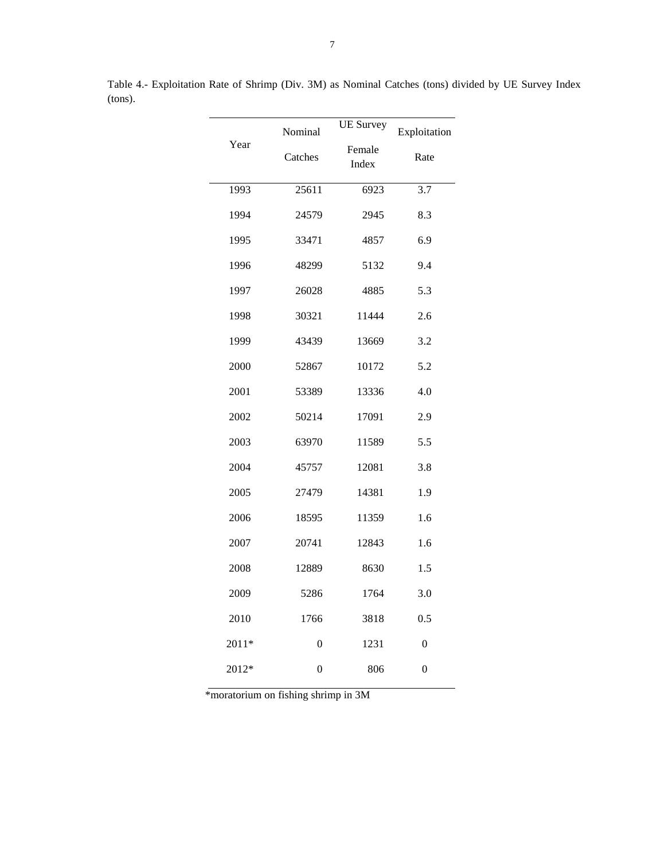|       | Nominal        | <b>UE</b> Survey | Exploitation   |  |  |  |  |
|-------|----------------|------------------|----------------|--|--|--|--|
| Year  | Catches        | Female<br>Index  | Rate           |  |  |  |  |
| 1993  | 25611          | 6923             | 3.7            |  |  |  |  |
| 1994  | 24579          | 2945             | 8.3            |  |  |  |  |
| 1995  | 33471          | 4857             | 6.9            |  |  |  |  |
| 1996  | 48299          | 5132             | 9.4            |  |  |  |  |
| 1997  | 26028          | 4885             | 5.3            |  |  |  |  |
| 1998  | 30321          | 11444            | 2.6            |  |  |  |  |
| 1999  | 43439          | 13669            | 3.2            |  |  |  |  |
| 2000  | 52867          | 10172            | 5.2            |  |  |  |  |
| 2001  | 53389          | 13336            | 4.0            |  |  |  |  |
| 2002  | 50214          | 17091            | 2.9            |  |  |  |  |
| 2003  | 63970          | 11589            | 5.5            |  |  |  |  |
| 2004  | 45757          | 12081            | 3.8            |  |  |  |  |
| 2005  | 27479          | 14381            | 1.9            |  |  |  |  |
| 2006  | 18595          | 11359            | 1.6            |  |  |  |  |
| 2007  | 20741          | 12843            | 1.6            |  |  |  |  |
| 2008  | 12889          | 8630             | 1.5            |  |  |  |  |
| 2009  | 5286           | 1764             | 3.0            |  |  |  |  |
| 2010  | 1766           | 3818             | 0.5            |  |  |  |  |
| 2011* | $\overline{0}$ | 1231             | $\overline{0}$ |  |  |  |  |
| 2012* | 0              | 806              | $\overline{0}$ |  |  |  |  |

Table 4.- Exploitation Rate of Shrimp (Div. 3M) as Nominal Catches (tons) divided by UE Survey Index (tons).

\*moratorium on fishing shrimp in 3M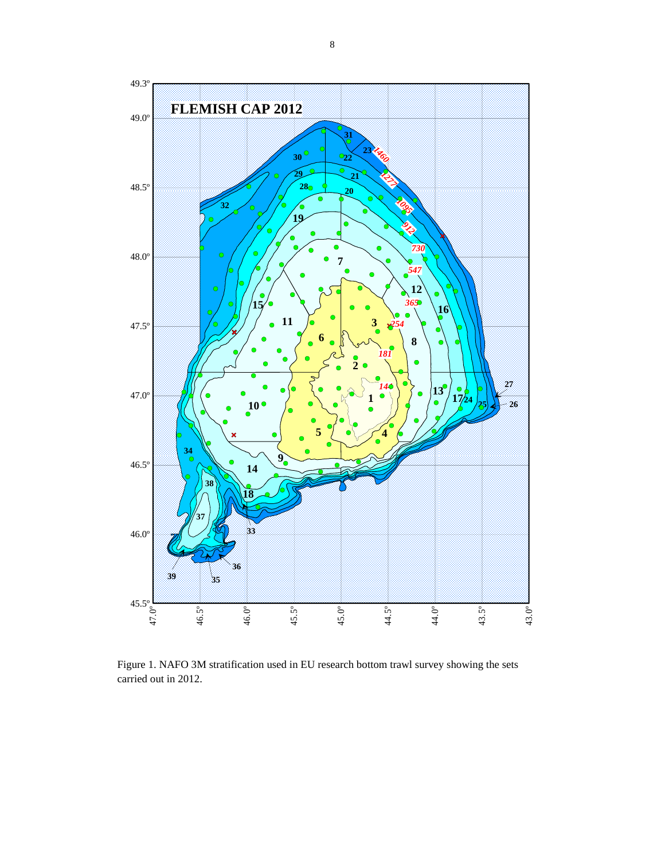

Figure 1. NAFO 3M stratification used in EU research bottom trawl survey showing the sets carried out in 2012.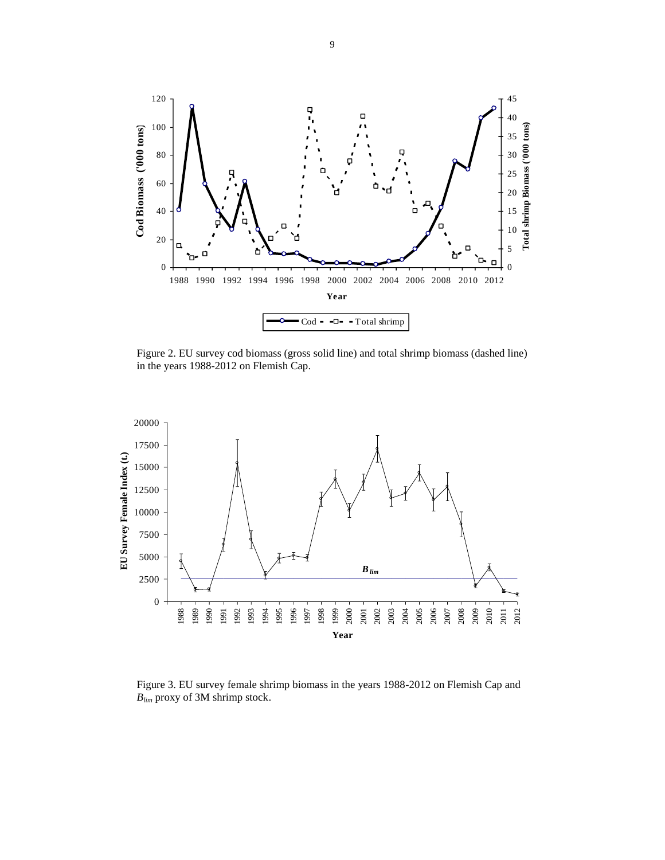

Figure 2. EU survey cod biomass (gross solid line) and total shrimp biomass (dashed line) in the years 1988-2012 on Flemish Cap.



Figure 3. EU survey female shrimp biomass in the years 1988-2012 on Flemish Cap and *Blim* proxy of 3M shrimp stock.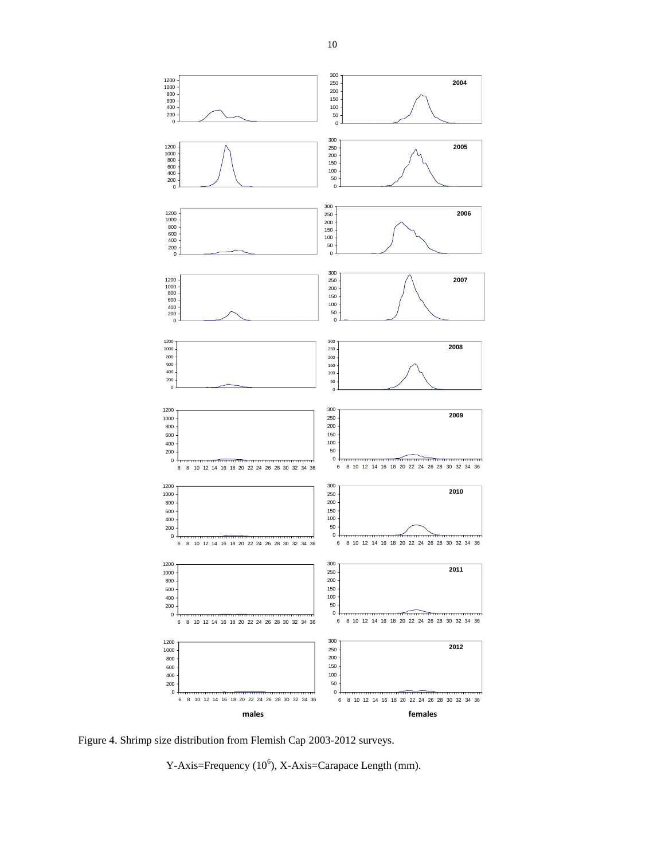

Figure 4. Shrimp size distribution from Flemish Cap 2003-2012 surveys.

Y-Axis=Frequency  $(10^6)$ , X-Axis=Carapace Length (mm).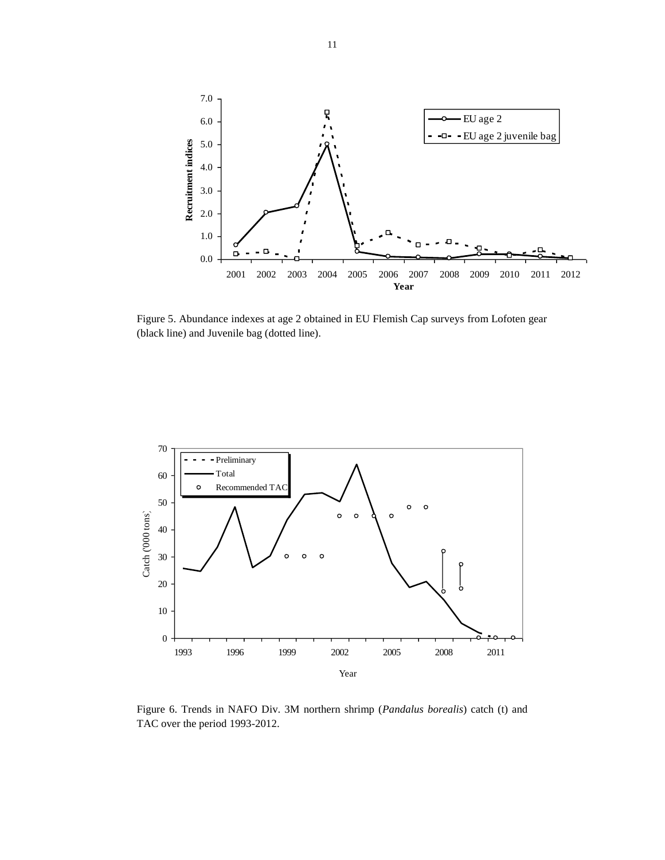

Figure 5. Abundance indexes at age 2 obtained in EU Flemish Cap surveys from Lofoten gear (black line) and Juvenile bag (dotted line).



Figure 6. Trends in NAFO Div. 3M northern shrimp (*Pandalus borealis*) catch (t) and TAC over the period 1993-2012.